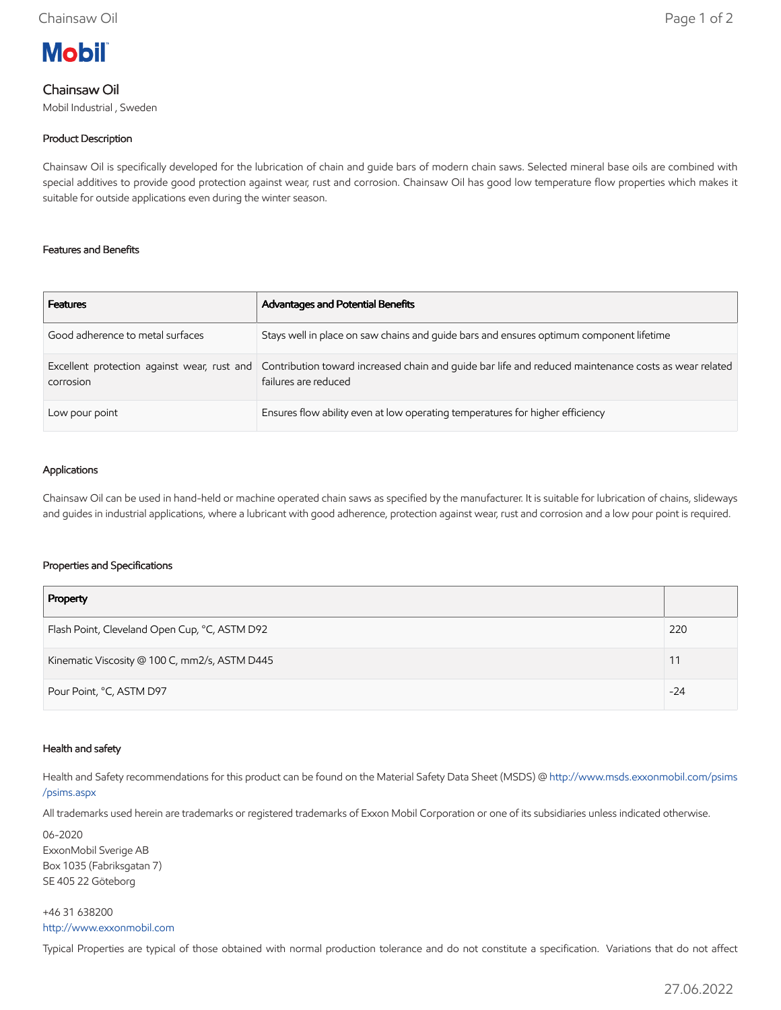# **Mobil**

## Chainsaw Oil

Mobil Industrial , Sweden

## Product Description

Chainsaw Oil is specifically developed for the lubrication of chain and guide bars of modern chain saws. Selected mineral base oils are combined with special additives to provide good protection against wear, rust and corrosion. Chainsaw Oil has good low temperature flow properties which makes it suitable for outside applications even during the winter season.

#### Features and Benefits

| <b>Features</b>                  | <b>Advantages and Potential Benefits</b>                                                                                                                                 |
|----------------------------------|--------------------------------------------------------------------------------------------------------------------------------------------------------------------------|
| Good adherence to metal surfaces | Stays well in place on saw chains and guide bars and ensures optimum component lifetime                                                                                  |
| corrosion                        | Excellent protection against wear, rust and Contribution toward increased chain and quide bar life and reduced maintenance costs as wear related<br>failures are reduced |
| Low pour point                   | Ensures flow ability even at low operating temperatures for higher efficiency                                                                                            |

#### Applications

Chainsaw Oil can be used in hand-held or machine operated chain saws as specified by the manufacturer. It is suitable for lubrication of chains, slideways and guides in industrial applications, where a lubricant with good adherence, protection against wear, rust and corrosion and a low pour point is required.

#### Properties and Specifications

| Property                                      |       |
|-----------------------------------------------|-------|
| Flash Point, Cleveland Open Cup, °C, ASTM D92 | 220   |
| Kinematic Viscosity @ 100 C, mm2/s, ASTM D445 |       |
| Pour Point, °C, ASTM D97                      | $-24$ |

#### Health and safety

Health and Safety recommendations for this product can be found on the Material Safety Data Sheet (MSDS) @ [http://www.msds.exxonmobil.com/psims](http://www.msds.exxonmobil.com/psims/psims.aspx) /psims.aspx

All trademarks used herein are trademarks or registered trademarks of Exxon Mobil Corporation or one of its subsidiaries unless indicated otherwise.

06-2020 ExxonMobil Sverige AB Box 1035 (Fabriksgatan 7) SE 405 22 Göteborg

#### +46 31 638200 [http://www.exxonmobil.com](http://www.exxonmobil.com/)

Typical Properties are typical of those obtained with normal production tolerance and do not constitute a specification. Variations that do not affect